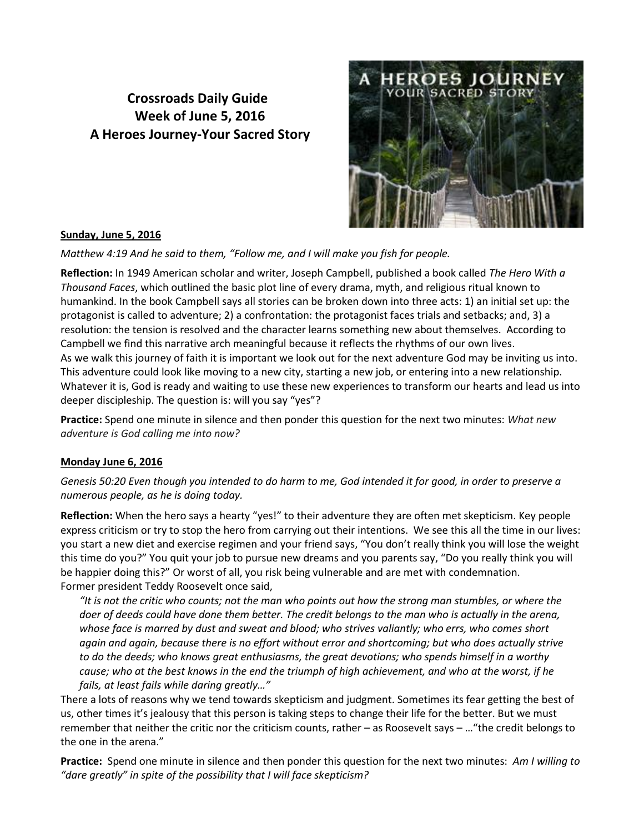# **Crossroads Daily Guide Week of June 5, 2016 A Heroes Journey-Your Sacred Story**



## **Sunday, June 5, 2016**

*Matthew 4:19 And he said to them, "Follow me, and I will make you fish for people.*

**Reflection:** In 1949 American scholar and writer, Joseph Campbell, published a book called *The Hero With a Thousand Faces*, which outlined the basic plot line of every drama, myth, and religious ritual known to humankind. In the book Campbell says all stories can be broken down into three acts: 1) an initial set up: the protagonist is called to adventure; 2) a confrontation: the protagonist faces trials and setbacks; and, 3) a resolution: the tension is resolved and the character learns something new about themselves. According to Campbell we find this narrative arch meaningful because it reflects the rhythms of our own lives. As we walk this journey of faith it is important we look out for the next adventure God may be inviting us into. This adventure could look like moving to a new city, starting a new job, or entering into a new relationship. Whatever it is, God is ready and waiting to use these new experiences to transform our hearts and lead us into deeper discipleship. The question is: will you say "yes"?

**Practice:** Spend one minute in silence and then ponder this question for the next two minutes: *What new adventure is God calling me into now?* 

# **Monday June 6, 2016**

*Genesis 50:20 Even though you intended to do harm to me, God intended it for good, in order to preserve a numerous people, as he is doing today.*

**Reflection:** When the hero says a hearty "yes!" to their adventure they are often met skepticism. Key people express criticism or try to stop the hero from carrying out their intentions. We see this all the time in our lives: you start a new diet and exercise regimen and your friend says, "You don't really think you will lose the weight this time do you?" You quit your job to pursue new dreams and you parents say, "Do you really think you will be happier doing this?" Or worst of all, you risk being vulnerable and are met with condemnation. Former president Teddy Roosevelt once said,

*"It is not the critic who counts; not the man who points out how the strong man stumbles, or where the doer of deeds could have done them better. The credit belongs to the man who is actually in the arena, whose face is marred by dust and sweat and blood; who strives valiantly; who errs, who comes short again and again, because there is no effort without error and shortcoming; but who does actually strive to do the deeds; who knows great enthusiasms, the great devotions; who spends himself in a worthy cause; who at the best knows in the end the triumph of high achievement, and who at the worst, if he fails, at least fails while daring greatly…"*

There a lots of reasons why we tend towards skepticism and judgment. Sometimes its fear getting the best of us, other times it's jealousy that this person is taking steps to change their life for the better. But we must remember that neither the critic nor the criticism counts, rather – as Roosevelt says – …"the credit belongs to the one in the arena."

**Practice:** Spend one minute in silence and then ponder this question for the next two minutes: *Am I willing to "dare greatly" in spite of the possibility that I will face skepticism?*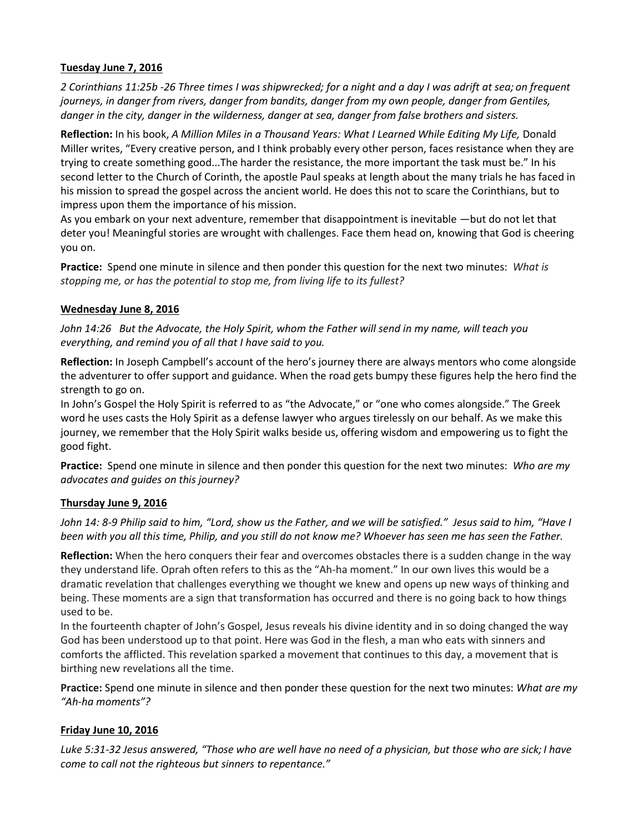## **Tuesday June 7, 2016**

*2 Corinthians 11:25b -26 Three times I was shipwrecked; for a night and a day I was adrift at sea; on frequent journeys, in danger from rivers, danger from bandits, danger from my own people, danger from Gentiles, danger in the city, danger in the wilderness, danger at sea, danger from false brothers and sisters.* 

**Reflection:** In his book, *A Million Miles in a Thousand Years: What I Learned While Editing My Life,* Donald Miller writes, "Every creative person, and I think probably every other person, faces resistance when they are trying to create something good...The harder the resistance, the more important the task must be." In his second letter to the Church of Corinth, the apostle Paul speaks at length about the many trials he has faced in his mission to spread the gospel across the ancient world. He does this not to scare the Corinthians, but to impress upon them the importance of his mission.

As you embark on your next adventure, remember that disappointment is inevitable —but do not let that deter you! Meaningful stories are wrought with challenges. Face them head on, knowing that God is cheering you on.

**Practice:** Spend one minute in silence and then ponder this question for the next two minutes: *What is stopping me, or has the potential to stop me, from living life to its fullest?*

#### **Wednesday June 8, 2016**

*John 14:26 But the Advocate, the Holy Spirit, whom the Father will send in my name, will teach you everything, and remind you of all that I have said to you.*

**Reflection:** In Joseph Campbell's account of the hero's journey there are always mentors who come alongside the adventurer to offer support and guidance. When the road gets bumpy these figures help the hero find the strength to go on.

In John's Gospel the Holy Spirit is referred to as "the Advocate," or "one who comes alongside." The Greek word he uses casts the Holy Spirit as a defense lawyer who argues tirelessly on our behalf. As we make this journey, we remember that the Holy Spirit walks beside us, offering wisdom and empowering us to fight the good fight.

**Practice:** Spend one minute in silence and then ponder this question for the next two minutes: *Who are my advocates and guides on this journey?*

#### **Thursday June 9, 2016**

*John 14: 8-9 Philip said to him, "Lord, show us the Father, and we will be satisfied." Jesus said to him, "Have I been with you all this time, Philip, and you still do not know me? Whoever has seen me has seen the Father.*

**Reflection:** When the hero conquers their fear and overcomes obstacles there is a sudden change in the way they understand life. Oprah often refers to this as the "Ah-ha moment." In our own lives this would be a dramatic revelation that challenges everything we thought we knew and opens up new ways of thinking and being. These moments are a sign that transformation has occurred and there is no going back to how things used to be.

In the fourteenth chapter of John's Gospel, Jesus reveals his divine identity and in so doing changed the way God has been understood up to that point. Here was God in the flesh, a man who eats with sinners and comforts the afflicted. This revelation sparked a movement that continues to this day, a movement that is birthing new revelations all the time.

**Practice:** Spend one minute in silence and then ponder these question for the next two minutes: *What are my "Ah-ha moments"?* 

## **Friday June 10, 2016**

*Luke 5:31-32 Jesus answered, "Those who are well have no need of a physician, but those who are sick; I have come to call not the righteous but sinners to repentance."*